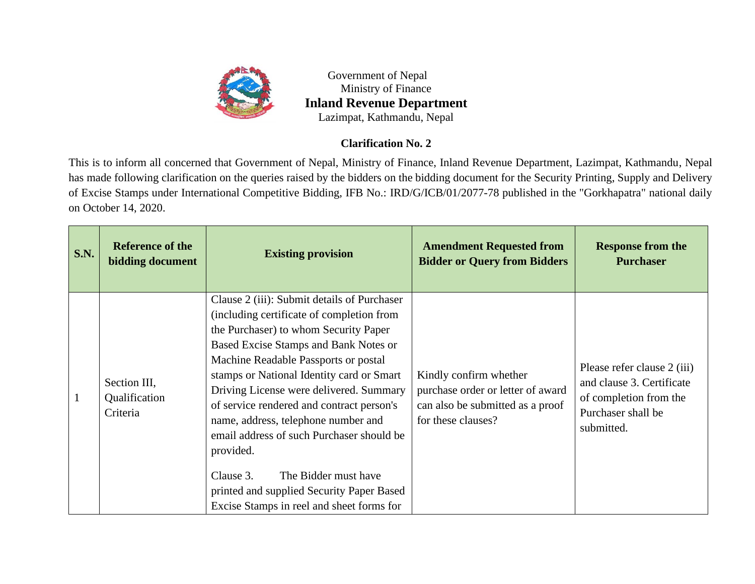

Government of Nepal Ministry of Finance **Inland Revenue Department** Lazimpat, Kathmandu, Nepal

## **Clarification No. 2**

This is to inform all concerned that Government of Nepal, Ministry of Finance, Inland Revenue Department, Lazimpat, Kathmandu, Nepal has made following clarification on the queries raised by the bidders on the bidding document for the Security Printing, Supply and Delivery of Excise Stamps under International Competitive Bidding, IFB No.: IRD/G/ICB/01/2077-78 published in the "Gorkhapatra" national daily on October 14, 2020.

| <b>S.N.</b> | <b>Reference of the</b><br>bidding document | <b>Existing provision</b>                                                                                                                                                                                                                                                                                                                                                                                                                                                                                                                                                               | <b>Amendment Requested from</b><br><b>Bidder or Query from Bidders</b>                                                | <b>Response from the</b><br><b>Purchaser</b>                                                                           |
|-------------|---------------------------------------------|-----------------------------------------------------------------------------------------------------------------------------------------------------------------------------------------------------------------------------------------------------------------------------------------------------------------------------------------------------------------------------------------------------------------------------------------------------------------------------------------------------------------------------------------------------------------------------------------|-----------------------------------------------------------------------------------------------------------------------|------------------------------------------------------------------------------------------------------------------------|
|             | Section III,<br>Qualification<br>Criteria   | Clause 2 (iii): Submit details of Purchaser<br>(including certificate of completion from<br>the Purchaser) to whom Security Paper<br>Based Excise Stamps and Bank Notes or<br>Machine Readable Passports or postal<br>stamps or National Identity card or Smart<br>Driving License were delivered. Summary<br>of service rendered and contract person's<br>name, address, telephone number and<br>email address of such Purchaser should be<br>provided.<br>Clause 3.<br>The Bidder must have<br>printed and supplied Security Paper Based<br>Excise Stamps in reel and sheet forms for | Kindly confirm whether<br>purchase order or letter of award<br>can also be submitted as a proof<br>for these clauses? | Please refer clause 2 (iii)<br>and clause 3. Certificate<br>of completion from the<br>Purchaser shall be<br>submitted. |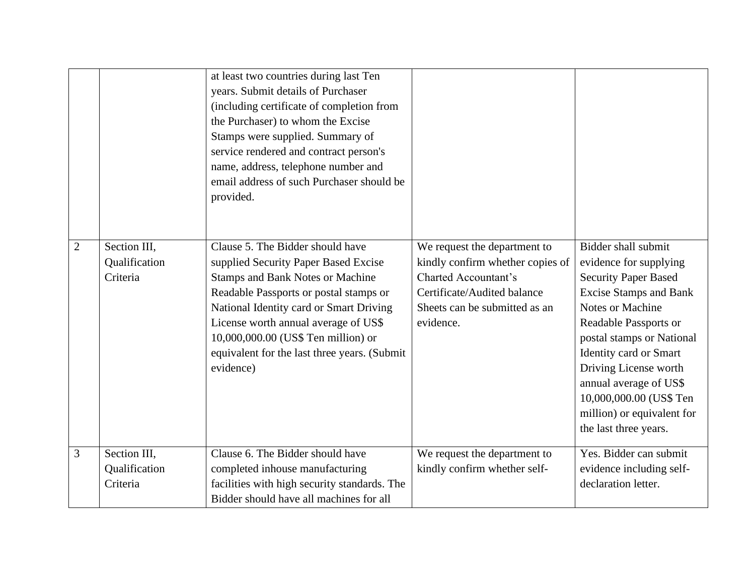|                |                                           | at least two countries during last Ten<br>years. Submit details of Purchaser<br>(including certificate of completion from<br>the Purchaser) to whom the Excise<br>Stamps were supplied. Summary of<br>service rendered and contract person's<br>name, address, telephone number and<br>email address of such Purchaser should be<br>provided.        |                                                                                                                                                                              |                                                                                                                                                                                                                                                                                                                                                               |
|----------------|-------------------------------------------|------------------------------------------------------------------------------------------------------------------------------------------------------------------------------------------------------------------------------------------------------------------------------------------------------------------------------------------------------|------------------------------------------------------------------------------------------------------------------------------------------------------------------------------|---------------------------------------------------------------------------------------------------------------------------------------------------------------------------------------------------------------------------------------------------------------------------------------------------------------------------------------------------------------|
| $\overline{2}$ | Section III,<br>Qualification<br>Criteria | Clause 5. The Bidder should have<br>supplied Security Paper Based Excise<br><b>Stamps and Bank Notes or Machine</b><br>Readable Passports or postal stamps or<br>National Identity card or Smart Driving<br>License worth annual average of US\$<br>10,000,000.00 (US\$ Ten million) or<br>equivalent for the last three years. (Submit<br>evidence) | We request the department to<br>kindly confirm whether copies of<br><b>Charted Accountant's</b><br>Certificate/Audited balance<br>Sheets can be submitted as an<br>evidence. | Bidder shall submit<br>evidence for supplying<br><b>Security Paper Based</b><br><b>Excise Stamps and Bank</b><br>Notes or Machine<br>Readable Passports or<br>postal stamps or National<br><b>Identity card or Smart</b><br>Driving License worth<br>annual average of US\$<br>10,000,000.00 (US\$ Ten<br>million) or equivalent for<br>the last three years. |
| $\overline{3}$ | Section III,<br>Qualification             | Clause 6. The Bidder should have<br>completed inhouse manufacturing                                                                                                                                                                                                                                                                                  | We request the department to<br>kindly confirm whether self-                                                                                                                 | Yes. Bidder can submit<br>evidence including self-                                                                                                                                                                                                                                                                                                            |
|                | Criteria                                  | facilities with high security standards. The<br>Bidder should have all machines for all                                                                                                                                                                                                                                                              |                                                                                                                                                                              | declaration letter.                                                                                                                                                                                                                                                                                                                                           |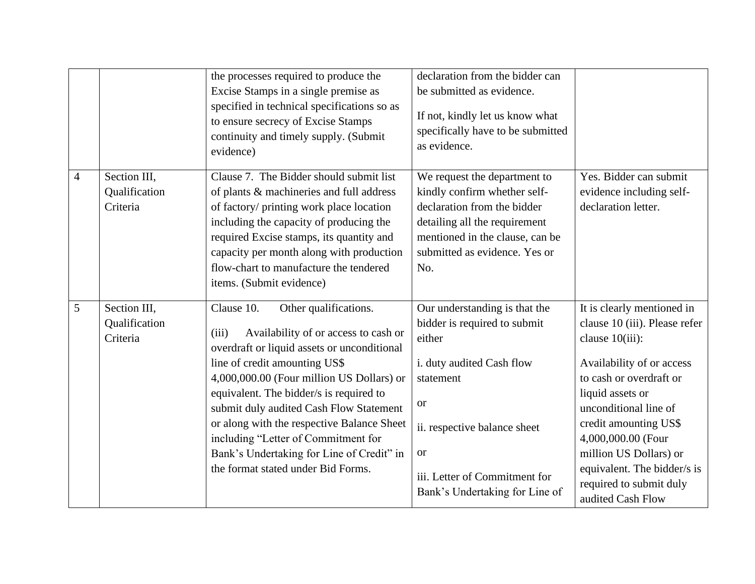|                |                                           | the processes required to produce the<br>Excise Stamps in a single premise as<br>specified in technical specifications so as<br>to ensure secrecy of Excise Stamps<br>continuity and timely supply. (Submit<br>evidence)                                                                                                                                                                                                                                                        | declaration from the bidder can<br>be submitted as evidence.<br>If not, kindly let us know what<br>specifically have to be submitted<br>as evidence.                                                                                           |                                                                                                                                                                                                                                                                                                                                             |
|----------------|-------------------------------------------|---------------------------------------------------------------------------------------------------------------------------------------------------------------------------------------------------------------------------------------------------------------------------------------------------------------------------------------------------------------------------------------------------------------------------------------------------------------------------------|------------------------------------------------------------------------------------------------------------------------------------------------------------------------------------------------------------------------------------------------|---------------------------------------------------------------------------------------------------------------------------------------------------------------------------------------------------------------------------------------------------------------------------------------------------------------------------------------------|
| $\overline{4}$ | Section III,<br>Qualification<br>Criteria | Clause 7. The Bidder should submit list<br>of plants & machineries and full address<br>of factory/ printing work place location<br>including the capacity of producing the<br>required Excise stamps, its quantity and<br>capacity per month along with production<br>flow-chart to manufacture the tendered<br>items. (Submit evidence)                                                                                                                                        | We request the department to<br>kindly confirm whether self-<br>declaration from the bidder<br>detailing all the requirement<br>mentioned in the clause, can be<br>submitted as evidence. Yes or<br>No.                                        | Yes. Bidder can submit<br>evidence including self-<br>declaration letter.                                                                                                                                                                                                                                                                   |
| 5              | Section III,<br>Qualification<br>Criteria | Clause 10.<br>Other qualifications.<br>Availability of or access to cash or<br>(iii)<br>overdraft or liquid assets or unconditional<br>line of credit amounting US\$<br>4,000,000.00 (Four million US Dollars) or<br>equivalent. The bidder/s is required to<br>submit duly audited Cash Flow Statement<br>or along with the respective Balance Sheet<br>including "Letter of Commitment for<br>Bank's Undertaking for Line of Credit" in<br>the format stated under Bid Forms. | Our understanding is that the<br>bidder is required to submit<br>either<br>i. duty audited Cash flow<br>statement<br><b>or</b><br>ii. respective balance sheet<br><b>or</b><br>iii. Letter of Commitment for<br>Bank's Undertaking for Line of | It is clearly mentioned in<br>clause 10 (iii). Please refer<br>clause 10(iii):<br>Availability of or access<br>to cash or overdraft or<br>liquid assets or<br>unconditional line of<br>credit amounting US\$<br>4,000,000.00 (Four<br>million US Dollars) or<br>equivalent. The bidder/s is<br>required to submit duly<br>audited Cash Flow |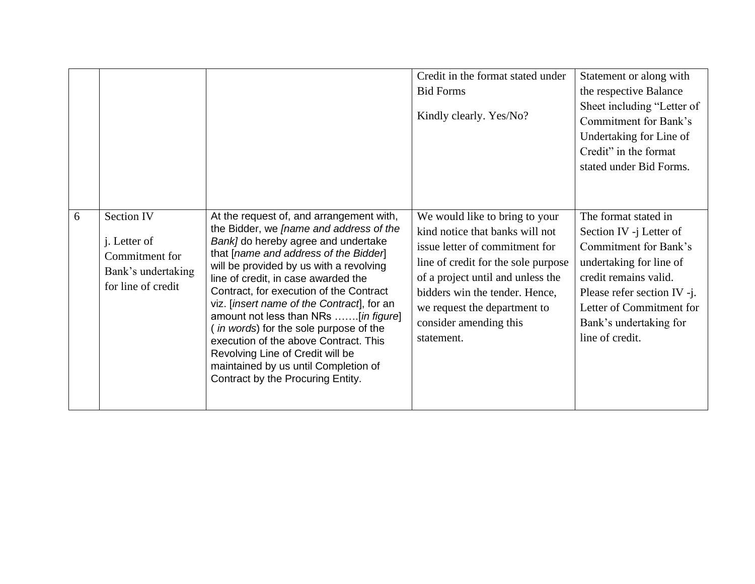|   |                                                                                                 |                                                                                                                                                                                                                                                                                                                                                                                                                                                                                                                                                                                            | Credit in the format stated under<br><b>Bid Forms</b><br>Kindly clearly. Yes/No?                                                                                                                                                                                                          | Statement or along with<br>the respective Balance<br>Sheet including "Letter of<br>Commitment for Bank's<br>Undertaking for Line of<br>Credit" in the format<br>stated under Bid Forms.                                              |
|---|-------------------------------------------------------------------------------------------------|--------------------------------------------------------------------------------------------------------------------------------------------------------------------------------------------------------------------------------------------------------------------------------------------------------------------------------------------------------------------------------------------------------------------------------------------------------------------------------------------------------------------------------------------------------------------------------------------|-------------------------------------------------------------------------------------------------------------------------------------------------------------------------------------------------------------------------------------------------------------------------------------------|--------------------------------------------------------------------------------------------------------------------------------------------------------------------------------------------------------------------------------------|
| 6 | <b>Section IV</b><br>j. Letter of<br>Commitment for<br>Bank's undertaking<br>for line of credit | At the request of, and arrangement with,<br>the Bidder, we [name and address of the<br>Bank] do hereby agree and undertake<br>that [name and address of the Bidder]<br>will be provided by us with a revolving<br>line of credit, in case awarded the<br>Contract, for execution of the Contract<br>viz. [insert name of the Contract], for an<br>amount not less than NRs [in figure]<br>(in words) for the sole purpose of the<br>execution of the above Contract. This<br>Revolving Line of Credit will be<br>maintained by us until Completion of<br>Contract by the Procuring Entity. | We would like to bring to your<br>kind notice that banks will not<br>issue letter of commitment for<br>line of credit for the sole purpose<br>of a project until and unless the<br>bidders win the tender. Hence,<br>we request the department to<br>consider amending this<br>statement. | The format stated in<br>Section IV -j Letter of<br>Commitment for Bank's<br>undertaking for line of<br>credit remains valid.<br>Please refer section IV -j.<br>Letter of Commitment for<br>Bank's undertaking for<br>line of credit. |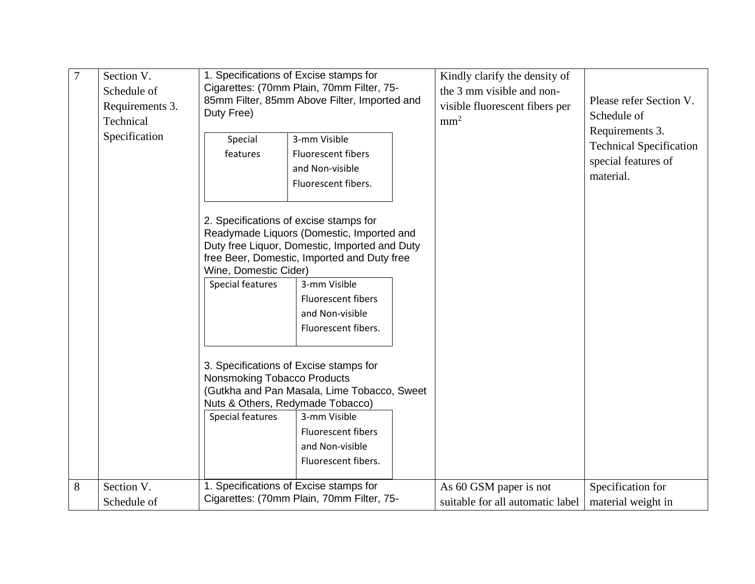| $\overline{7}$ | Section V.<br>Schedule of<br>Requirements 3.<br>Technical | 1. Specifications of Excise stamps for<br>Cigarettes: (70mm Plain, 70mm Filter, 75-<br>85mm Filter, 85mm Above Filter, Imported and<br>Duty Free)                                                                                                                                                                |                                                                                                                             |                                                            | Kindly clarify the density of<br>the 3 mm visible and non-<br>visible fluorescent fibers per<br>mm <sup>2</sup> | Please refer Section V.<br>Schedule of<br>Requirements 3.          |
|----------------|-----------------------------------------------------------|------------------------------------------------------------------------------------------------------------------------------------------------------------------------------------------------------------------------------------------------------------------------------------------------------------------|-----------------------------------------------------------------------------------------------------------------------------|------------------------------------------------------------|-----------------------------------------------------------------------------------------------------------------|--------------------------------------------------------------------|
|                | Specification                                             | Special<br>features                                                                                                                                                                                                                                                                                              | 3-mm Visible<br><b>Fluorescent fibers</b><br>and Non-visible<br>Fluorescent fibers.                                         |                                                            |                                                                                                                 | <b>Technical Specification</b><br>special features of<br>material. |
|                |                                                           | 2. Specifications of excise stamps for<br>Readymade Liquors (Domestic, Imported and<br>Duty free Liquor, Domestic, Imported and Duty<br>free Beer, Domestic, Imported and Duty free<br>Wine, Domestic Cider)<br>3-mm Visible<br>Special features<br>Fluorescent fibers<br>and Non-visible<br>Fluorescent fibers. |                                                                                                                             |                                                            |                                                                                                                 |                                                                    |
|                |                                                           | 3. Specifications of Excise stamps for<br>Nonsmoking Tobacco Products<br>Nuts & Others, Redymade Tobacco)<br><b>Special features</b>                                                                                                                                                                             | (Gutkha and Pan Masala, Lime Tobacco, Sweet<br>3-mm Visible<br>Fluorescent fibers<br>and Non-visible<br>Fluorescent fibers. |                                                            |                                                                                                                 |                                                                    |
| 8              | Section V.<br>Schedule of                                 | 1. Specifications of Excise stamps for<br>Cigarettes: (70mm Plain, 70mm Filter, 75-                                                                                                                                                                                                                              |                                                                                                                             | As 60 GSM paper is not<br>suitable for all automatic label | Specification for<br>material weight in                                                                         |                                                                    |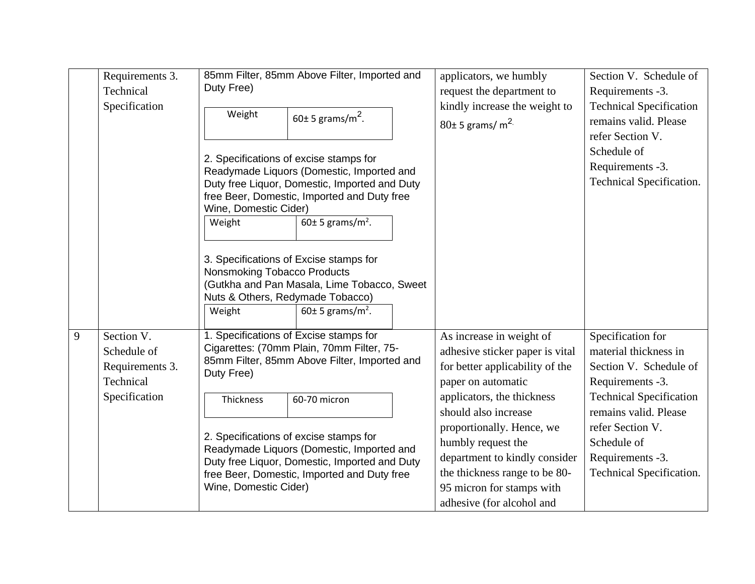|   | Requirements 3.<br>Technical<br>Specification                              | Duty Free)<br>Weight                                                     | 85mm Filter, 85mm Above Filter, Imported and<br>60 $\pm$ 5 grams/m <sup>2</sup> .                                                                                                                                                                                                                                                                                                    | applicators, we humbly<br>request the department to<br>kindly increase the weight to<br>$80±5$ grams/ m <sup>2</sup>                                                                                                                                                                                                                                      | Section V. Schedule of<br>Requirements -3.<br><b>Technical Specification</b><br>remains valid. Please<br>refer Section V.                                                                                                              |
|---|----------------------------------------------------------------------------|--------------------------------------------------------------------------|--------------------------------------------------------------------------------------------------------------------------------------------------------------------------------------------------------------------------------------------------------------------------------------------------------------------------------------------------------------------------------------|-----------------------------------------------------------------------------------------------------------------------------------------------------------------------------------------------------------------------------------------------------------------------------------------------------------------------------------------------------------|----------------------------------------------------------------------------------------------------------------------------------------------------------------------------------------------------------------------------------------|
|   |                                                                            | Wine, Domestic Cider)<br>Weight<br>Nonsmoking Tobacco Products<br>Weight | 2. Specifications of excise stamps for<br>Readymade Liquors (Domestic, Imported and<br>Duty free Liquor, Domestic, Imported and Duty<br>free Beer, Domestic, Imported and Duty free<br>$60±5$ grams/m <sup>2</sup> .<br>3. Specifications of Excise stamps for<br>(Gutkha and Pan Masala, Lime Tobacco, Sweet<br>Nuts & Others, Redymade Tobacco)<br>60 $±$ 5 grams/m <sup>2</sup> . |                                                                                                                                                                                                                                                                                                                                                           | Schedule of<br>Requirements -3.<br>Technical Specification.                                                                                                                                                                            |
| 9 | Section V.<br>Schedule of<br>Requirements 3.<br>Technical<br>Specification | Duty Free)<br>Thickness<br>Wine, Domestic Cider)                         | 1. Specifications of Excise stamps for<br>Cigarettes: (70mm Plain, 70mm Filter, 75-<br>85mm Filter, 85mm Above Filter, Imported and<br>60-70 micron<br>2. Specifications of excise stamps for<br>Readymade Liquors (Domestic, Imported and<br>Duty free Liquor, Domestic, Imported and Duty<br>free Beer, Domestic, Imported and Duty free                                           | As increase in weight of<br>adhesive sticker paper is vital<br>for better applicability of the<br>paper on automatic<br>applicators, the thickness<br>should also increase<br>proportionally. Hence, we<br>humbly request the<br>department to kindly consider<br>the thickness range to be 80-<br>95 micron for stamps with<br>adhesive (for alcohol and | Specification for<br>material thickness in<br>Section V. Schedule of<br>Requirements -3.<br><b>Technical Specification</b><br>remains valid. Please<br>refer Section V.<br>Schedule of<br>Requirements -3.<br>Technical Specification. |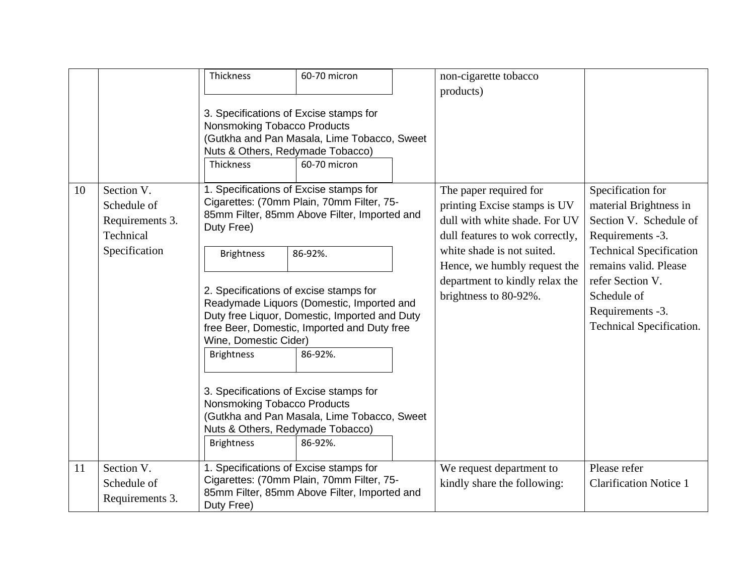|    |                                                                                                                                                                                                                | Thickness                                                                                                                                                                                                    | 60-70 micron                                                                                                                        |                                                                                           | non-cigarette tobacco<br>products)                                              |                                                         |
|----|----------------------------------------------------------------------------------------------------------------------------------------------------------------------------------------------------------------|--------------------------------------------------------------------------------------------------------------------------------------------------------------------------------------------------------------|-------------------------------------------------------------------------------------------------------------------------------------|-------------------------------------------------------------------------------------------|---------------------------------------------------------------------------------|---------------------------------------------------------|
|    |                                                                                                                                                                                                                | Nonsmoking Tobacco Products<br>Nuts & Others, Redymade Tobacco)<br><b>Thickness</b>                                                                                                                          | 3. Specifications of Excise stamps for<br>(Gutkha and Pan Masala, Lime Tobacco, Sweet<br>60-70 micron                               |                                                                                           |                                                                                 |                                                         |
| 10 | 1. Specifications of Excise stamps for<br>Section V.<br>Cigarettes: (70mm Plain, 70mm Filter, 75-<br>Schedule of<br>85mm Filter, 85mm Above Filter, Imported and<br>Requirements 3.<br>Duty Free)<br>Technical |                                                                                                                                                                                                              | The paper required for<br>printing Excise stamps is UV<br>dull with white shade. For UV<br>dull features to wok correctly,          | Specification for<br>material Brightness in<br>Section V. Schedule of<br>Requirements -3. |                                                                                 |                                                         |
|    | Specification                                                                                                                                                                                                  | <b>Brightness</b>                                                                                                                                                                                            | 86-92%.                                                                                                                             |                                                                                           | white shade is not suited.<br>Hence, we humbly request the                      | <b>Technical Specification</b><br>remains valid. Please |
|    |                                                                                                                                                                                                                | 2. Specifications of excise stamps for<br>Readymade Liquors (Domestic, Imported and<br>Duty free Liquor, Domestic, Imported and Duty<br>free Beer, Domestic, Imported and Duty free<br>Wine, Domestic Cider) |                                                                                                                                     | department to kindly relax the<br>brightness to 80-92%.                                   | refer Section V.<br>Schedule of<br>Requirements -3.<br>Technical Specification. |                                                         |
|    |                                                                                                                                                                                                                | <b>Brightness</b>                                                                                                                                                                                            | 86-92%.                                                                                                                             |                                                                                           |                                                                                 |                                                         |
|    |                                                                                                                                                                                                                | Nonsmoking Tobacco Products<br>Nuts & Others, Redymade Tobacco)<br><b>Brightness</b>                                                                                                                         | 3. Specifications of Excise stamps for<br>(Gutkha and Pan Masala, Lime Tobacco, Sweet<br>86-92%.                                    |                                                                                           |                                                                                 |                                                         |
| 11 | Section V.<br>Schedule of<br>Requirements 3.                                                                                                                                                                   | Duty Free)                                                                                                                                                                                                   | 1. Specifications of Excise stamps for<br>Cigarettes: (70mm Plain, 70mm Filter, 75-<br>85mm Filter, 85mm Above Filter, Imported and |                                                                                           | We request department to<br>kindly share the following:                         | Please refer<br><b>Clarification Notice 1</b>           |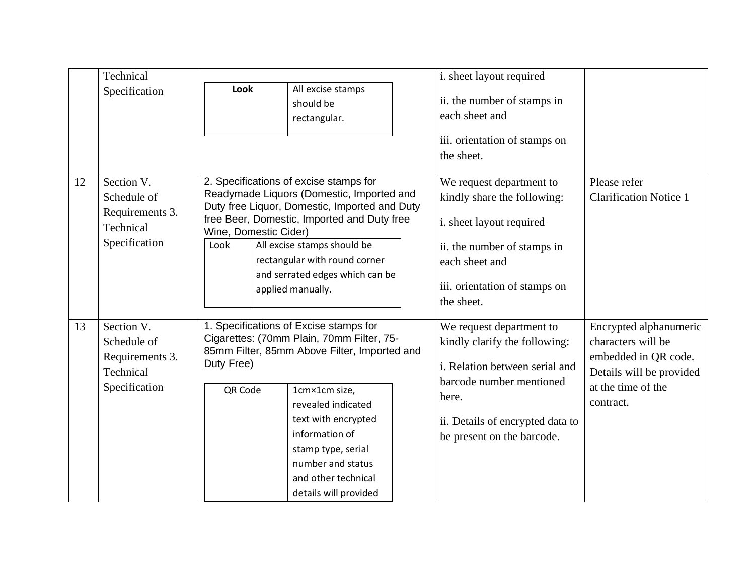|    | Technical                                                                  |                               |                                                                                                                                                                                                                                                                                                                | i. sheet layout required                                                                                                                                                                           |                                                                                                                                     |
|----|----------------------------------------------------------------------------|-------------------------------|----------------------------------------------------------------------------------------------------------------------------------------------------------------------------------------------------------------------------------------------------------------------------------------------------------------|----------------------------------------------------------------------------------------------------------------------------------------------------------------------------------------------------|-------------------------------------------------------------------------------------------------------------------------------------|
|    | Specification                                                              | Look                          | All excise stamps<br>should be<br>rectangular.                                                                                                                                                                                                                                                                 | ii. the number of stamps in<br>each sheet and<br>iii. orientation of stamps on                                                                                                                     |                                                                                                                                     |
|    |                                                                            |                               |                                                                                                                                                                                                                                                                                                                | the sheet.                                                                                                                                                                                         |                                                                                                                                     |
| 12 | Section V.<br>Schedule of<br>Requirements 3.<br>Technical<br>Specification | Wine, Domestic Cider)<br>Look | 2. Specifications of excise stamps for<br>Readymade Liquors (Domestic, Imported and<br>Duty free Liquor, Domestic, Imported and Duty<br>free Beer, Domestic, Imported and Duty free<br>All excise stamps should be<br>rectangular with round corner<br>and serrated edges which can be<br>applied manually.    | We request department to<br>kindly share the following:<br>i. sheet layout required<br>ii. the number of stamps in<br>each sheet and<br>iii. orientation of stamps on<br>the sheet.                | Please refer<br><b>Clarification Notice 1</b>                                                                                       |
| 13 | Section V.<br>Schedule of<br>Requirements 3.<br>Technical<br>Specification | Duty Free)<br>QR Code         | 1. Specifications of Excise stamps for<br>Cigarettes: (70mm Plain, 70mm Filter, 75-<br>85mm Filter, 85mm Above Filter, Imported and<br>1cm×1cm size,<br>revealed indicated<br>text with encrypted<br>information of<br>stamp type, serial<br>number and status<br>and other technical<br>details will provided | We request department to<br>kindly clarify the following:<br>i. Relation between serial and<br>barcode number mentioned<br>here.<br>ii. Details of encrypted data to<br>be present on the barcode. | Encrypted alphanumeric<br>characters will be<br>embedded in QR code.<br>Details will be provided<br>at the time of the<br>contract. |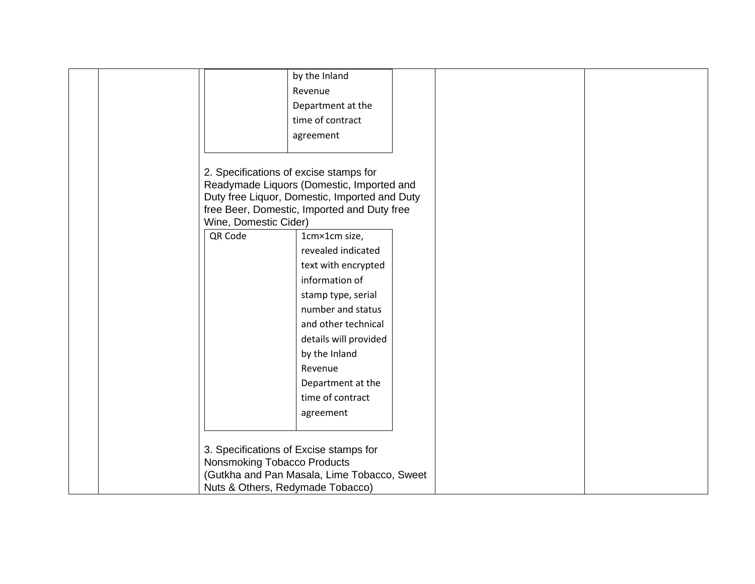|                             | by the Inland                                 |
|-----------------------------|-----------------------------------------------|
|                             | Revenue                                       |
|                             | Department at the                             |
|                             | time of contract                              |
|                             |                                               |
|                             | agreement                                     |
|                             |                                               |
|                             | 2. Specifications of excise stamps for        |
|                             | Readymade Liquors (Domestic, Imported and     |
|                             | Duty free Liquor, Domestic, Imported and Duty |
|                             | free Beer, Domestic, Imported and Duty free   |
| Wine, Domestic Cider)       |                                               |
| QR Code                     | 1cm×1cm size,                                 |
|                             | revealed indicated                            |
|                             | text with encrypted                           |
|                             | information of                                |
|                             | stamp type, serial                            |
|                             | number and status                             |
|                             | and other technical                           |
|                             | details will provided                         |
|                             | by the Inland                                 |
|                             | Revenue                                       |
|                             | Department at the                             |
|                             | time of contract                              |
|                             | agreement                                     |
|                             |                                               |
|                             |                                               |
|                             | 3. Specifications of Excise stamps for        |
| Nonsmoking Tobacco Products |                                               |
|                             | (Gutkha and Pan Masala, Lime Tobacco, Sweet   |
|                             | Nuts & Others, Redymade Tobacco)              |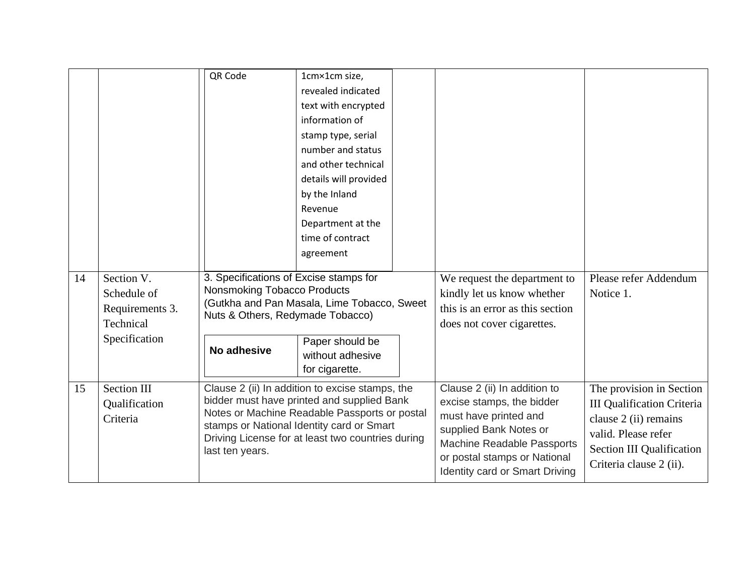|    |                                                           | QR Code                                                                                                                                                  | 1cm×1cm size,<br>revealed indicated<br>text with encrypted<br>information of<br>stamp type, serial<br>number and status<br>and other technical<br>details will provided<br>by the Inland<br>Revenue<br>Department at the<br>time of contract<br>agreement |                                                                                                                                                                                                                            |                                                                                                                                                                              |
|----|-----------------------------------------------------------|----------------------------------------------------------------------------------------------------------------------------------------------------------|-----------------------------------------------------------------------------------------------------------------------------------------------------------------------------------------------------------------------------------------------------------|----------------------------------------------------------------------------------------------------------------------------------------------------------------------------------------------------------------------------|------------------------------------------------------------------------------------------------------------------------------------------------------------------------------|
| 14 | Section V.<br>Schedule of<br>Requirements 3.<br>Technical | 3. Specifications of Excise stamps for<br>Nonsmoking Tobacco Products<br>(Gutkha and Pan Masala, Lime Tobacco, Sweet<br>Nuts & Others, Redymade Tobacco) |                                                                                                                                                                                                                                                           | We request the department to<br>kindly let us know whether<br>this is an error as this section<br>does not cover cigarettes.                                                                                               | Please refer Addendum<br>Notice 1.                                                                                                                                           |
|    | Specification                                             | No adhesive                                                                                                                                              | Paper should be<br>without adhesive<br>for cigarette.                                                                                                                                                                                                     |                                                                                                                                                                                                                            |                                                                                                                                                                              |
| 15 | Section III<br>Qualification<br>Criteria                  | last ten years.                                                                                                                                          | Clause 2 (ii) In addition to excise stamps, the<br>bidder must have printed and supplied Bank<br>Notes or Machine Readable Passports or postal<br>stamps or National Identity card or Smart<br>Driving License for at least two countries during          | Clause 2 (ii) In addition to<br>excise stamps, the bidder<br>must have printed and<br>supplied Bank Notes or<br><b>Machine Readable Passports</b><br>or postal stamps or National<br><b>Identity card or Smart Driving</b> | The provision in Section<br><b>III Qualification Criteria</b><br>clause 2 (ii) remains<br>valid. Please refer<br><b>Section III Qualification</b><br>Criteria clause 2 (ii). |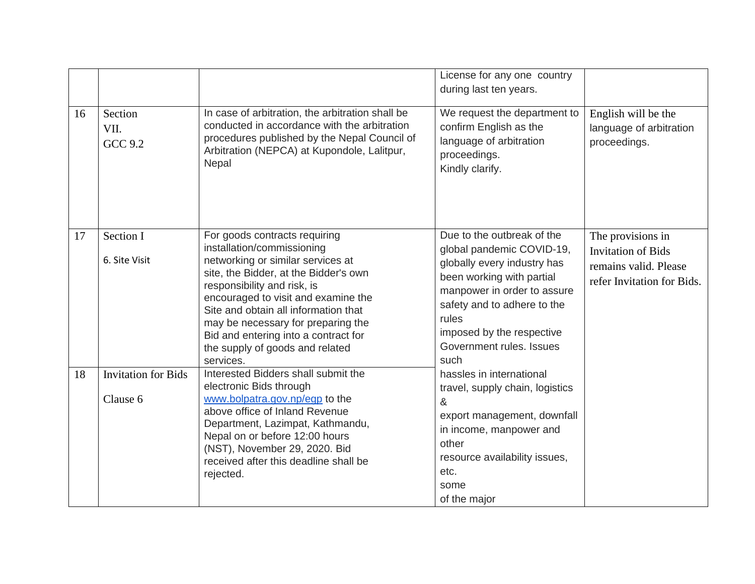|    |                                        |                                                                                                                                                                                                                                                                                                                                                                                       | License for any one country<br>during last ten years.                                                                                                                                                                                                       |                                                                                                       |
|----|----------------------------------------|---------------------------------------------------------------------------------------------------------------------------------------------------------------------------------------------------------------------------------------------------------------------------------------------------------------------------------------------------------------------------------------|-------------------------------------------------------------------------------------------------------------------------------------------------------------------------------------------------------------------------------------------------------------|-------------------------------------------------------------------------------------------------------|
| 16 | Section<br>VII.<br><b>GCC 9.2</b>      | In case of arbitration, the arbitration shall be<br>conducted in accordance with the arbitration<br>procedures published by the Nepal Council of<br>Arbitration (NEPCA) at Kupondole, Lalitpur,<br>Nepal                                                                                                                                                                              | We request the department to<br>confirm English as the<br>language of arbitration<br>proceedings.<br>Kindly clarify.                                                                                                                                        | English will be the<br>language of arbitration<br>proceedings.                                        |
| 17 | Section I<br>6. Site Visit             | For goods contracts requiring<br>installation/commissioning<br>networking or similar services at<br>site, the Bidder, at the Bidder's own<br>responsibility and risk, is<br>encouraged to visit and examine the<br>Site and obtain all information that<br>may be necessary for preparing the<br>Bid and entering into a contract for<br>the supply of goods and related<br>services. | Due to the outbreak of the<br>global pandemic COVID-19,<br>globally every industry has<br>been working with partial<br>manpower in order to assure<br>safety and to adhere to the<br>rules<br>imposed by the respective<br>Government rules, Issues<br>such | The provisions in<br><b>Invitation of Bids</b><br>remains valid. Please<br>refer Invitation for Bids. |
| 18 | <b>Invitation for Bids</b><br>Clause 6 | Interested Bidders shall submit the<br>electronic Bids through<br>www.bolpatra.gov.np/egp to the<br>above office of Inland Revenue<br>Department, Lazimpat, Kathmandu,<br>Nepal on or before 12:00 hours<br>(NST), November 29, 2020. Bid<br>received after this deadline shall be<br>rejected.                                                                                       | hassles in international<br>travel, supply chain, logistics<br>&<br>export management, downfall<br>in income, manpower and<br>other<br>resource availability issues,<br>etc.<br>some<br>of the major                                                        |                                                                                                       |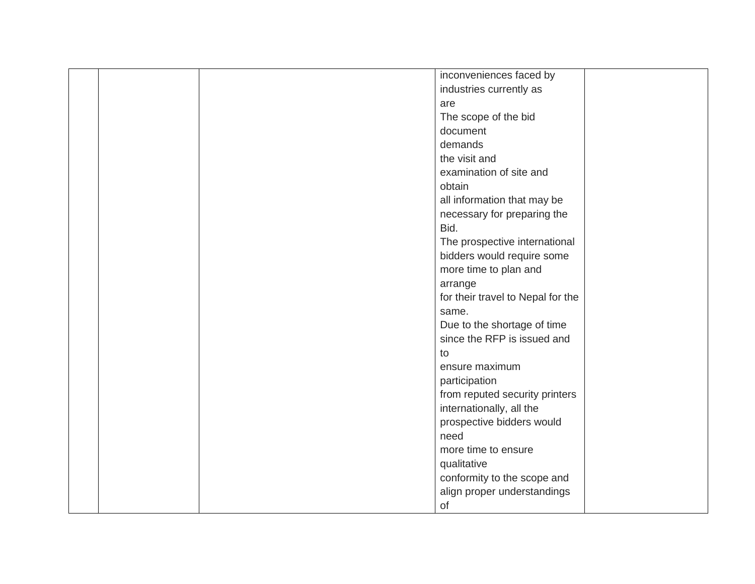|  | inconveniences faced by           |  |
|--|-----------------------------------|--|
|  | industries currently as           |  |
|  |                                   |  |
|  | are                               |  |
|  | The scope of the bid              |  |
|  | document                          |  |
|  | demands                           |  |
|  | the visit and                     |  |
|  | examination of site and           |  |
|  | obtain                            |  |
|  | all information that may be       |  |
|  | necessary for preparing the       |  |
|  | Bid.                              |  |
|  | The prospective international     |  |
|  | bidders would require some        |  |
|  | more time to plan and             |  |
|  | arrange                           |  |
|  | for their travel to Nepal for the |  |
|  |                                   |  |
|  | same.                             |  |
|  | Due to the shortage of time       |  |
|  | since the RFP is issued and       |  |
|  | to                                |  |
|  | ensure maximum                    |  |
|  | participation                     |  |
|  | from reputed security printers    |  |
|  | internationally, all the          |  |
|  | prospective bidders would         |  |
|  | need                              |  |
|  | more time to ensure               |  |
|  | qualitative                       |  |
|  | conformity to the scope and       |  |
|  | align proper understandings       |  |
|  | of                                |  |
|  |                                   |  |